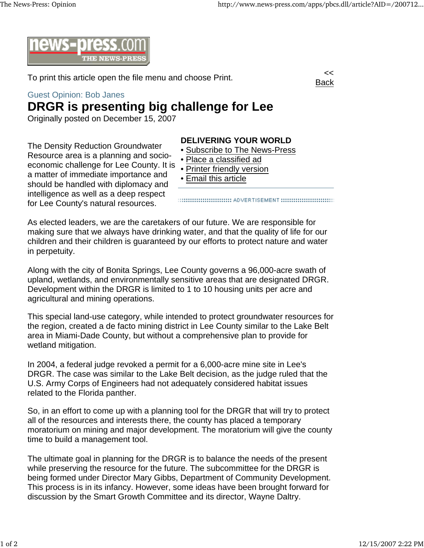Back



To print this article open the file menu and choose Print.

## Guest Opinion: Bob Janes

## **DRGR is presenting big challenge for Lee**

Originally posted on December 15, 2007

The Density Reduction Groundwater Resource area is a planning and socioeconomic challenge for Lee County. It is a matter of immediate importance and should be handled with diplomacy and intelligence as well as a deep respect for Lee County's natural resources.

## **DELIVERING YOUR WORLD**

- Subscribe to The News-Press
- Place a classified ad
- Printer friendly version
- Email this article

As elected leaders, we are the caretakers of our future. We are responsible for making sure that we always have drinking water, and that the quality of life for our children and their children is guaranteed by our efforts to protect nature and water in perpetuity.

Along with the city of Bonita Springs, Lee County governs a 96,000-acre swath of upland, wetlands, and environmentally sensitive areas that are designated DRGR. Development within the DRGR is limited to 1 to 10 housing units per acre and agricultural and mining operations.

This special land-use category, while intended to protect groundwater resources for the region, created a de facto mining district in Lee County similar to the Lake Belt area in Miami-Dade County, but without a comprehensive plan to provide for wetland mitigation.

In 2004, a federal judge revoked a permit for a 6,000-acre mine site in Lee's DRGR. The case was similar to the Lake Belt decision, as the judge ruled that the U.S. Army Corps of Engineers had not adequately considered habitat issues related to the Florida panther.

So, in an effort to come up with a planning tool for the DRGR that will try to protect all of the resources and interests there, the county has placed a temporary moratorium on mining and major development. The moratorium will give the county time to build a management tool.

The ultimate goal in planning for the DRGR is to balance the needs of the present while preserving the resource for the future. The subcommittee for the DRGR is being formed under Director Mary Gibbs, Department of Community Development. This process is in its infancy. However, some ideas have been brought forward for discussion by the Smart Growth Committee and its director, Wayne Daltry.